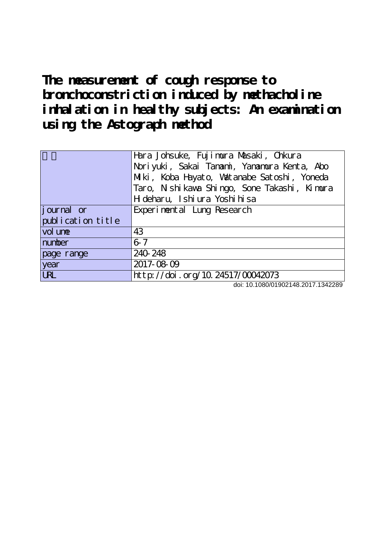**The measurement of cough response to** bronchoconstriction induced by methacholine **inhalation in healthy subjects: An examination using the Astograph method**

|                              | Hara Johsuke, Fujimura Masaki, Chkura<br>Noriyuki, Sakai Tanami, Yanamura Kenta, Abo<br>Miki, Koba Hayato, Watanabe Satoshi, Yoneda<br>Taro, Nishi kawa Shingo, Sone Takashi, Kimura<br>H deharu, Ishi ura Yoshi hisa |
|------------------------------|-----------------------------------------------------------------------------------------------------------------------------------------------------------------------------------------------------------------------|
| journal or                   | Experimental Lung Research                                                                                                                                                                                            |
| publication title<br>vol une | 43                                                                                                                                                                                                                    |
| number                       | $6-7$                                                                                                                                                                                                                 |
| page range                   | 240 248                                                                                                                                                                                                               |
| year                         | 2017-08-09                                                                                                                                                                                                            |
| <b>URL</b>                   | http://doi.org/10.24517/00042073                                                                                                                                                                                      |

doi: 10.1080/01902148.2017.1342289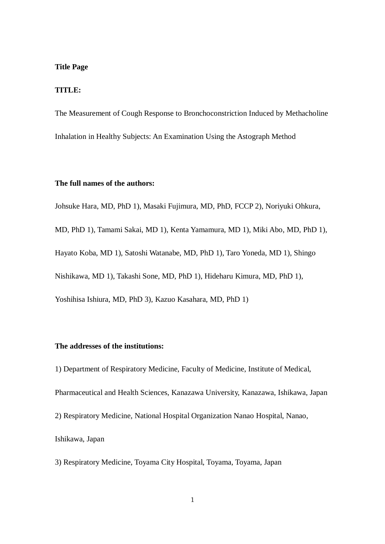#### **Title Page**

### **TITLE:**

The Measurement of Cough Response to Bronchoconstriction Induced by Methacholine Inhalation in Healthy Subjects: An Examination Using the Astograph Method

## **The full names of the authors:**

Johsuke Hara, MD, PhD 1), Masaki Fujimura, MD, PhD, FCCP 2), Noriyuki Ohkura,

MD, PhD 1), Tamami Sakai, MD 1), Kenta Yamamura, MD 1), Miki Abo, MD, PhD 1), Hayato Koba, MD 1), Satoshi Watanabe, MD, PhD 1), Taro Yoneda, MD 1), Shingo Nishikawa, MD 1), Takashi Sone, MD, PhD 1), Hideharu Kimura, MD, PhD 1), Yoshihisa Ishiura, MD, PhD 3), Kazuo Kasahara, MD, PhD 1)

## **The addresses of the institutions:**

1) Department of Respiratory Medicine, Faculty of Medicine, Institute of Medical, Pharmaceutical and Health Sciences, Kanazawa University, Kanazawa, Ishikawa, Japan 2) Respiratory Medicine, National Hospital Organization Nanao Hospital, Nanao, Ishikawa, Japan

3) Respiratory Medicine, Toyama City Hospital, Toyama, Toyama, Japan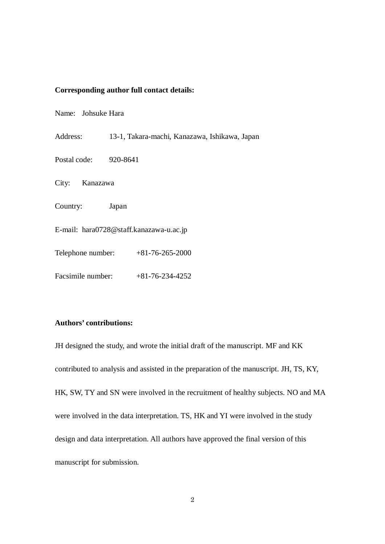## **Corresponding author full contact details:**

Name: Johsuke Hara

Address: 13-1, Takara-machi, Kanazawa, Ishikawa, Japan

Postal code: 920-8641

City: Kanazawa

Country: Japan

E-mail: [hara0728@staff.kanazawa-u.ac.jp](mailto:hara0728@staff.kanazawa-u.ac.jp)

Telephone number: +81-76-265-2000

Facsimile number: +81-76-234-4252

# **Authors' contributions:**

JH designed the study, and wrote the initial draft of the manuscript. MF and KK contributed to analysis and assisted in the preparation of the manuscript. JH, TS, KY, HK, SW, TY and SN were involved in the recruitment of healthy subjects. NO and MA were involved in the data interpretation. TS, HK and YI were involved in the study design and data interpretation. All authors have approved the final version of this manuscript for submission.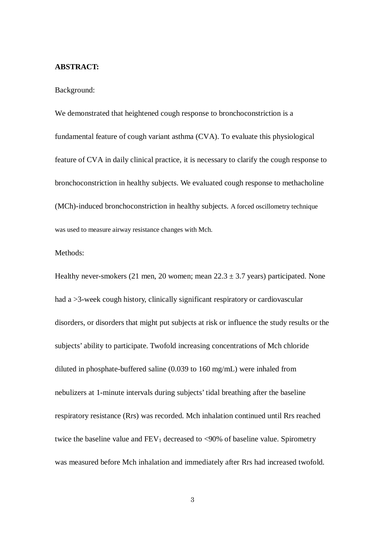#### **ABSTRACT:**

Background:

We demonstrated that heightened cough response to bronchoconstriction is a fundamental feature of cough variant asthma (CVA). To evaluate this physiological feature of CVA in daily clinical practice, it is necessary to clarify the cough response to bronchoconstriction in healthy subjects. We evaluated cough response to methacholine (MCh)-induced bronchoconstriction in healthy subjects. A forced oscillometry technique was used to measure airway resistance changes with Mch.

## Methods:

Healthy never-smokers (21 men, 20 women; mean  $22.3 \pm 3.7$  years) participated. None had a >3-week cough history, clinically significant respiratory or cardiovascular disorders, or disorders that might put subjects at risk or influence the study results or the subjects' ability to participate. Twofold increasing concentrations of Mch chloride diluted in phosphate-buffered saline (0.039 to 160 mg/mL) were inhaled from nebulizers at 1-minute intervals during subjects' tidal breathing after the baseline respiratory resistance (Rrs) was recorded. Mch inhalation continued until Rrs reached twice the baseline value and  $FEV_1$  decreased to <90% of baseline value. Spirometry was measured before Mch inhalation and immediately after Rrs had increased twofold.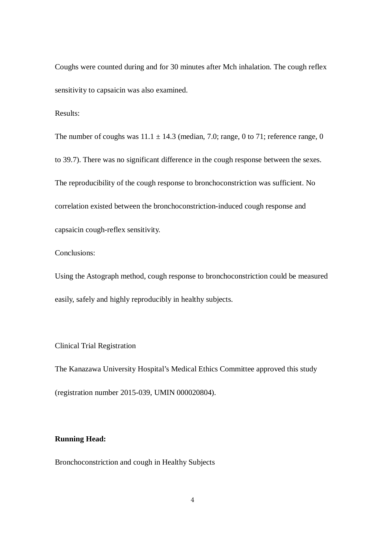Coughs were counted during and for 30 minutes after Mch inhalation. The cough reflex sensitivity to capsaicin was also examined.

Results:

The number of coughs was  $11.1 \pm 14.3$  (median, 7.0; range, 0 to 71; reference range, 0 to 39.7). There was no significant difference in the cough response between the sexes. The reproducibility of the cough response to bronchoconstriction was sufficient. No correlation existed between the bronchoconstriction-induced cough response and capsaicin cough-reflex sensitivity.

Conclusions:

Using the Astograph method, cough response to bronchoconstriction could be measured easily, safely and highly reproducibly in healthy subjects.

## Clinical Trial Registration

The Kanazawa University Hospital's Medical Ethics Committee approved this study (registration number 2015-039, UMIN 000020804).

# **Running Head:**

Bronchoconstriction and cough in Healthy Subjects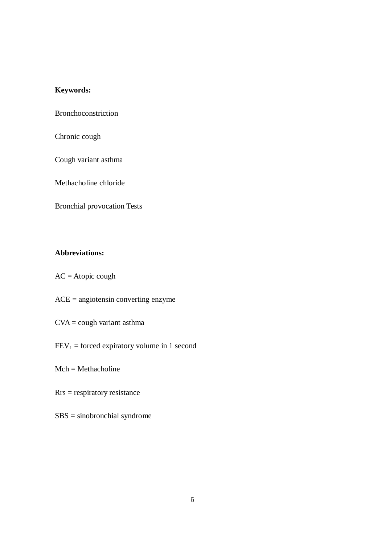# **Keywords:**

Bronchoconstriction

Chronic cough

Cough variant asthma

Methacholine chloride

Bronchial provocation Tests

# **Abbreviations:**

- $AC = A$ topic cough
- ACE = angiotensin converting enzyme
- $CVA = \text{cough variant asthma}$
- $FEV<sub>1</sub> = forced \, \text{expiratory} \, \text{volume in 1 second}$
- $Mch = Methacholine$
- Rrs = respiratory resistance
- SBS = sinobronchial syndrome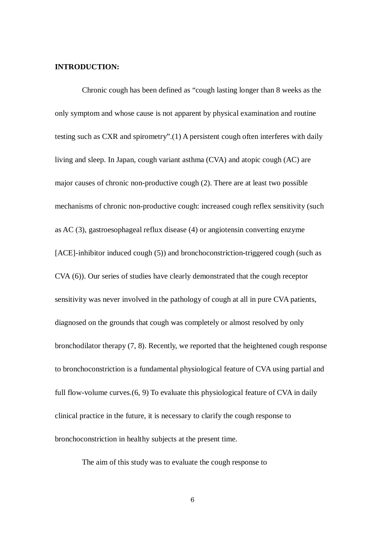#### **INTRODUCTION:**

Chronic cough has been defined as "cough lasting longer than 8 weeks as the only symptom and whose cause is not apparent by physical examination and routine testing such as CXR and spirometry".(1) A persistent cough often interferes with daily living and sleep. In Japan, cough variant asthma (CVA) and atopic cough (AC) are major causes of chronic non-productive cough (2). There are at least two possible mechanisms of chronic non-productive cough: increased cough reflex sensitivity (such as AC (3), gastroesophageal reflux disease (4) or angiotensin converting enzyme [ACE]-inhibitor induced cough (5)) and bronchoconstriction-triggered cough (such as CVA (6)). Our series of studies have clearly demonstrated that the cough receptor sensitivity was never involved in the pathology of cough at all in pure CVA patients, diagnosed on the grounds that cough was completely or almost resolved by only bronchodilator therapy (7, 8). Recently, we reported that the heightened cough response to bronchoconstriction is a fundamental physiological feature of CVA using partial and full flow-volume curves.(6, 9) To evaluate this physiological feature of CVA in daily clinical practice in the future, it is necessary to clarify the cough response to bronchoconstriction in healthy subjects at the present time.

The aim of this study was to evaluate the cough response to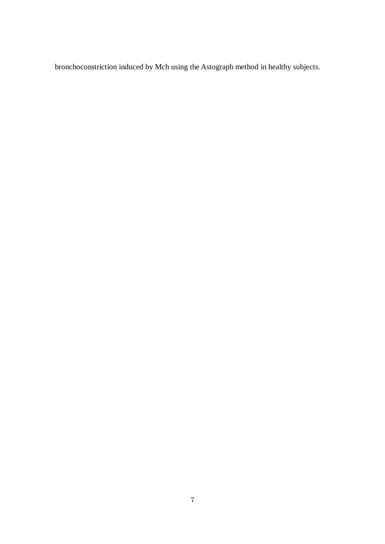bronchoconstriction induced by Mch using the Astograph method in healthy subjects.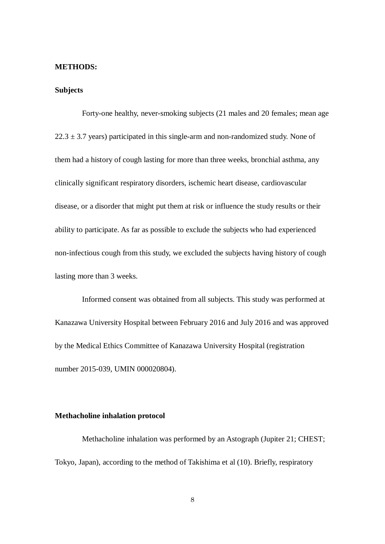#### **METHODS:**

## **Subjects**

Forty-one healthy, never-smoking subjects (21 males and 20 females; mean age  $22.3 \pm 3.7$  years) participated in this single-arm and non-randomized study. None of them had a history of cough lasting for more than three weeks, bronchial asthma, any clinically significant respiratory disorders, ischemic heart disease, cardiovascular disease, or a disorder that might put them at risk or influence the study results or their ability to participate. As far as possible to exclude the subjects who had experienced non-infectious cough from this study, we excluded the subjects having history of cough lasting more than 3 weeks.

Informed consent was obtained from all subjects. This study was performed at Kanazawa University Hospital between February 2016 and July 2016 and was approved by the Medical Ethics Committee of Kanazawa University Hospital (registration number 2015-039, UMIN 000020804).

## **Methacholine inhalation protocol**

Methacholine inhalation was performed by an Astograph (Jupiter 21; CHEST; Tokyo, Japan), according to the method of Takishima et al (10). Briefly, respiratory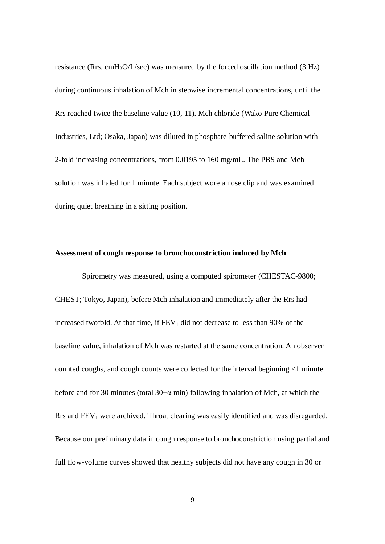resistance (Rrs. cmH<sub>2</sub>O/L/sec) was measured by the forced oscillation method (3 Hz) during continuous inhalation of Mch in stepwise incremental concentrations, until the Rrs reached twice the baseline value (10, 11). Mch chloride (Wako Pure Chemical Industries, Ltd; Osaka, Japan) was diluted in phosphate-buffered saline solution with 2-fold increasing concentrations, from 0.0195 to 160 mg/mL. The PBS and Mch solution was inhaled for 1 minute. Each subject wore a nose clip and was examined during quiet breathing in a sitting position.

### **Assessment of cough response to bronchoconstriction induced by Mch**

Spirometry was measured, using a computed spirometer (CHESTAC-9800; CHEST; Tokyo, Japan), before Mch inhalation and immediately after the Rrs had increased twofold. At that time, if  $FEV<sub>1</sub>$  did not decrease to less than 90% of the baseline value, inhalation of Mch was restarted at the same concentration. An observer counted coughs, and cough counts were collected for the interval beginning <1 minute before and for 30 minutes (total  $30+\alpha$  min) following inhalation of Mch, at which the  $Rrs$  and  $FEV<sub>1</sub>$  were archived. Throat clearing was easily identified and was disregarded. Because our preliminary data in cough response to bronchoconstriction using partial and full flow-volume curves showed that healthy subjects did not have any cough in 30 or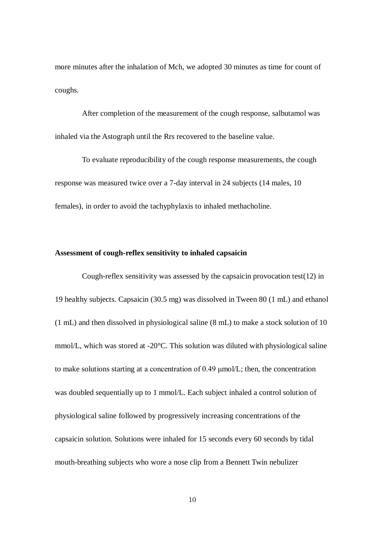more minutes after the inhalation of Mch, we adopted 30 minutes as time for count of coughs.

After completion of the measurement of the cough response, salbutamol was inhaled via the Astograph until the Rrs recovered to the baseline value.

To evaluate reproducibility of the cough response measurements, the cough response was measured twice over a 7-day interval in 24 subjects (14 males, 10 females), in order to avoid the tachyphylaxis to inhaled methacholine.

## **Assessment of cough-reflex sensitivity to inhaled capsaicin**

Cough-reflex sensitivity was assessed by the capsaicin provocation test(12) in 19 healthy subjects. Capsaicin (30.5 mg) was dissolved in Tween 80 (1 mL) and ethanol (1 mL) and then dissolved in physiological saline (8 mL) to make a stock solution of 10 mmol/L, which was stored at -20°C. This solution was diluted with physiological saline to make solutions starting at a concentration of 0.49 μmol/L; then, the concentration was doubled sequentially up to 1 mmol/L. Each subject inhaled a control solution of physiological saline followed by progressively increasing concentrations of the capsaicin solution. Solutions were inhaled for 15 seconds every 60 seconds by tidal mouth-breathing subjects who wore a nose clip from a Bennett Twin nebulizer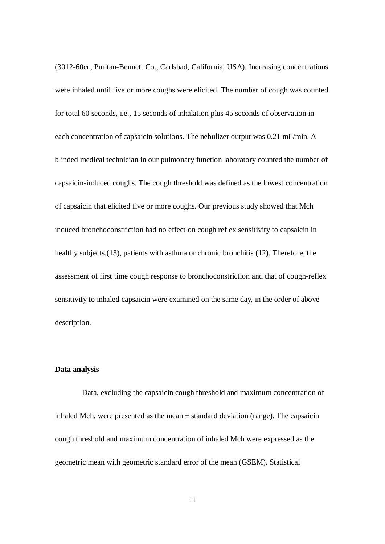(3012-60cc, Puritan-Bennett Co., Carlsbad, California, USA). Increasing concentrations were inhaled until five or more coughs were elicited. The number of cough was counted for total 60 seconds, i.e., 15 seconds of inhalation plus 45 seconds of observation in each concentration of capsaicin solutions. The nebulizer output was 0.21 mL/min. A blinded medical technician in our pulmonary function laboratory counted the number of capsaicin-induced coughs. The cough threshold was defined as the lowest concentration of capsaicin that elicited five or more coughs. Our previous study showed that Mch induced bronchoconstriction had no effect on cough reflex sensitivity to capsaicin in healthy subjects.(13), patients with asthma or chronic bronchitis (12). Therefore, the assessment of first time cough response to bronchoconstriction and that of cough-reflex sensitivity to inhaled capsaicin were examined on the same day, in the order of above description.

#### **Data analysis**

Data, excluding the capsaicin cough threshold and maximum concentration of inhaled Mch, were presented as the mean  $\pm$  standard deviation (range). The capsaicin cough threshold and maximum concentration of inhaled Mch were expressed as the geometric mean with geometric standard error of the mean (GSEM). Statistical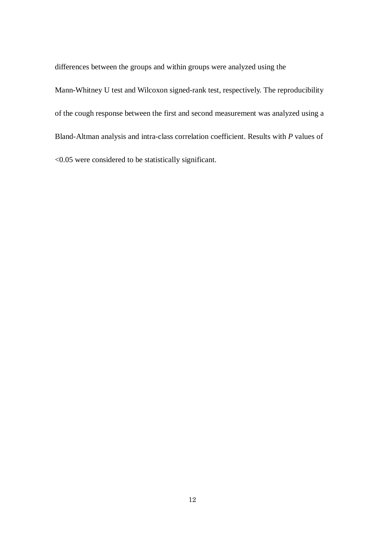differences between the groups and within groups were analyzed using the

Mann-Whitney U test and Wilcoxon signed-rank test, respectively. The reproducibility of the cough response between the first and second measurement was analyzed using a Bland-Altman analysis and intra-class correlation coefficient. Results with *P* values of <0.05 were considered to be statistically significant.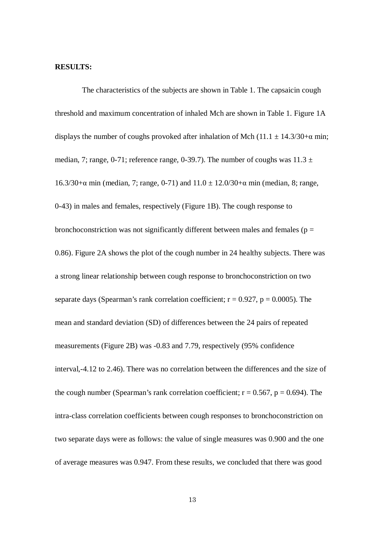#### **RESULTS:**

The characteristics of the subjects are shown in Table 1. The capsaicin cough threshold and maximum concentration of inhaled Mch are shown in Table 1. Figure 1A displays the number of coughs provoked after inhalation of Mch (11.1  $\pm$  14.3/30+ $\alpha$  min; median, 7; range, 0-71; reference range, 0-39.7). The number of coughs was  $11.3 \pm$ 16.3/30+α min (median, 7; range, 0-71) and  $11.0 \pm 12.0/30$ +α min (median, 8; range, 0-43) in males and females, respectively (Figure 1B). The cough response to bronchoconstriction was not significantly different between males and females ( $p =$ 0.86). Figure 2A shows the plot of the cough number in 24 healthy subjects. There was a strong linear relationship between cough response to bronchoconstriction on two separate days (Spearman's rank correlation coefficient;  $r = 0.927$ ,  $p = 0.0005$ ). The mean and standard deviation (SD) of differences between the 24 pairs of repeated measurements (Figure 2B) was -0.83 and 7.79, respectively (95% confidence interval,-4.12 to 2.46). There was no correlation between the differences and the size of the cough number (Spearman's rank correlation coefficient;  $r = 0.567$ ,  $p = 0.694$ ). The intra-class correlation coefficients between cough responses to bronchoconstriction on two separate days were as follows: the value of single measures was 0.900 and the one of average measures was 0.947. From these results, we concluded that there was good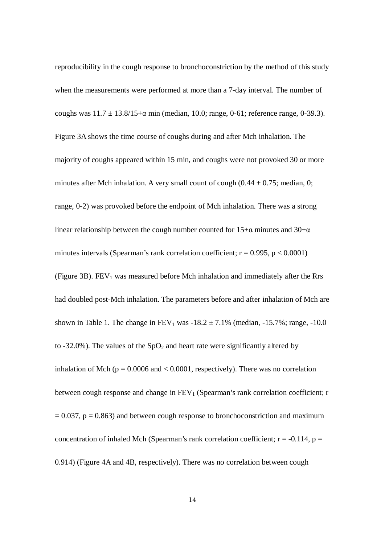reproducibility in the cough response to bronchoconstriction by the method of this study when the measurements were performed at more than a 7-day interval. The number of coughs was  $11.7 \pm 13.8/15$ +α min (median, 10.0; range, 0-61; reference range, 0-39.3). Figure 3A shows the time course of coughs during and after Mch inhalation. The majority of coughs appeared within 15 min, and coughs were not provoked 30 or more minutes after Mch inhalation. A very small count of cough  $(0.44 \pm 0.75)$ ; median, 0; range, 0-2) was provoked before the endpoint of Mch inhalation. There was a strong linear relationship between the cough number counted for  $15+\alpha$  minutes and  $30+\alpha$ minutes intervals (Spearman's rank correlation coefficient;  $r = 0.995$ ,  $p < 0.0001$ ) (Figure 3B).  $FEV<sub>1</sub>$  was measured before Mch inhalation and immediately after the Rrs had doubled post-Mch inhalation. The parameters before and after inhalation of Mch are shown in Table 1. The change in  $FEV_1$  was  $-18.2 \pm 7.1\%$  (median,  $-15.7\%$ ; range,  $-10.0$ ) to -32.0%). The values of the  $SpO<sub>2</sub>$  and heart rate were significantly altered by inhalation of Mch ( $p = 0.0006$  and  $< 0.0001$ , respectively). There was no correlation between cough response and change in  $FEV<sub>1</sub>$  (Spearman's rank correlation coefficient; r  $= 0.037$ ,  $p = 0.863$ ) and between cough response to bronchoconstriction and maximum concentration of inhaled Mch (Spearman's rank correlation coefficient;  $r = -0.114$ ,  $p =$ 0.914) (Figure 4A and 4B, respectively). There was no correlation between cough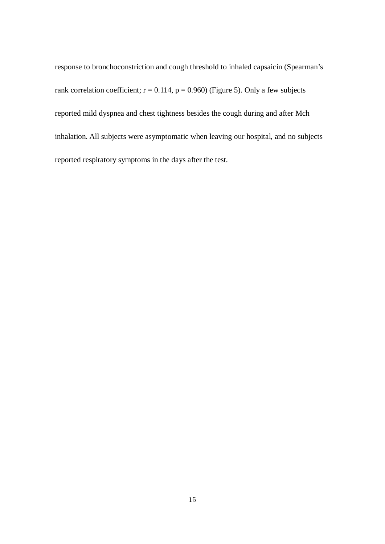response to bronchoconstriction and cough threshold to inhaled capsaicin (Spearman's rank correlation coefficient;  $r = 0.114$ ,  $p = 0.960$ ) (Figure 5). Only a few subjects reported mild dyspnea and chest tightness besides the cough during and after Mch inhalation. All subjects were asymptomatic when leaving our hospital, and no subjects reported respiratory symptoms in the days after the test.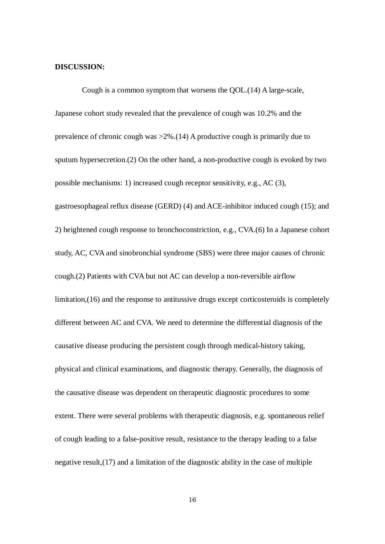#### **DISCUSSION:**

Cough is a common symptom that worsens the QOL.(14) A large-scale, Japanese cohort study revealed that the prevalence of cough was 10.2% and the prevalence of chronic cough was >2%.(14) A productive cough is primarily due to sputum hypersecretion.(2) On the other hand, a non-productive cough is evoked by two possible mechanisms: 1) increased cough receptor sensitivity, e.g., AC (3), gastroesophageal reflux disease (GERD) (4) and ACE-inhibitor induced cough (15); and 2) heightened cough response to bronchoconstriction, e.g., CVA.(6) In a Japanese cohort study, AC, CVA and sinobronchial syndrome (SBS) were three major causes of chronic cough.(2) Patients with CVA but not AC can develop a non-reversible airflow limitation,(16) and the response to antitussive drugs except corticosteroids is completely different between AC and CVA. We need to determine the differential diagnosis of the causative disease producing the persistent cough through medical-history taking, physical and clinical examinations, and diagnostic therapy. Generally, the diagnosis of the causative disease was dependent on therapeutic diagnostic procedures to some extent. There were several problems with therapeutic diagnosis, e.g. spontaneous relief of cough leading to a false-positive result, resistance to the therapy leading to a false negative result,(17) and a limitation of the diagnostic ability in the case of multiple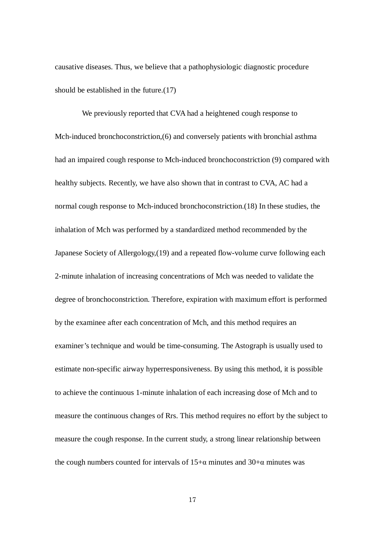causative diseases. Thus, we believe that a pathophysiologic diagnostic procedure should be established in the future.(17)

We previously reported that CVA had a heightened cough response to Mch-induced bronchoconstriction,(6) and conversely patients with bronchial asthma had an impaired cough response to Mch-induced bronchoconstriction (9) compared with healthy subjects. Recently, we have also shown that in contrast to CVA, AC had a normal cough response to Mch-induced bronchoconstriction.(18) In these studies, the inhalation of Mch was performed by a standardized method recommended by the Japanese Society of Allergology,(19) and a repeated flow-volume curve following each 2-minute inhalation of increasing concentrations of Mch was needed to validate the degree of bronchoconstriction. Therefore, expiration with maximum effort is performed by the examinee after each concentration of Mch, and this method requires an examiner's technique and would be time-consuming. The Astograph is usually used to estimate non-specific airway hyperresponsiveness. By using this method, it is possible to achieve the continuous 1-minute inhalation of each increasing dose of Mch and to measure the continuous changes of Rrs. This method requires no effort by the subject to measure the cough response. In the current study, a strong linear relationship between the cough numbers counted for intervals of  $15+\alpha$  minutes and  $30+\alpha$  minutes was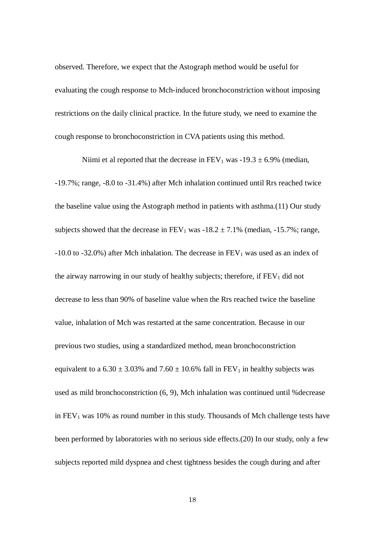observed. Therefore, we expect that the Astograph method would be useful for evaluating the cough response to Mch-induced bronchoconstriction without imposing restrictions on the daily clinical practice. In the future study, we need to examine the cough response to bronchoconstriction in CVA patients using this method.

Niimi et al reported that the decrease in  $FEV_1$  was -19.3  $\pm$  6.9% (median, -19.7%; range, -8.0 to -31.4%) after Mch inhalation continued until Rrs reached twice the baseline value using the Astograph method in patients with asthma.(11) Our study subjects showed that the decrease in  $FEV_1$  was  $-18.2 \pm 7.1\%$  (median,  $-15.7\%$ ; range,  $-10.0$  to  $-32.0\%$ ) after Mch inhalation. The decrease in FEV<sub>1</sub> was used as an index of the airway narrowing in our study of healthy subjects; therefore, if  $FEV<sub>1</sub>$  did not decrease to less than 90% of baseline value when the Rrs reached twice the baseline value, inhalation of Mch was restarted at the same concentration. Because in our previous two studies, using a standardized method, mean bronchoconstriction equivalent to a  $6.30 \pm 3.03\%$  and  $7.60 \pm 10.6\%$  fall in FEV<sub>1</sub> in healthy subjects was used as mild bronchoconstriction (6, 9), Mch inhalation was continued until %decrease in  $FEV<sub>1</sub>$  was 10% as round number in this study. Thousands of Mch challenge tests have been performed by laboratories with no serious side effects.(20) In our study, only a few subjects reported mild dyspnea and chest tightness besides the cough during and after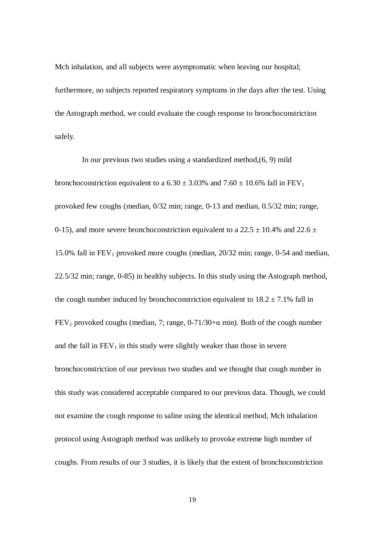Mch inhalation, and all subjects were asymptomatic when leaving our hospital; furthermore, no subjects reported respiratory symptoms in the days after the test. Using the Astograph method, we could evaluate the cough response to bronchoconstriction safely.

In our previous two studies using a standardized method,(6, 9) mild bronchoconstriction equivalent to a  $6.30 \pm 3.03\%$  and  $7.60 \pm 10.6\%$  fall in FEV<sub>1</sub> provoked few coughs (median, 0/32 min; range, 0-13 and median, 0.5/32 min; range, 0-15), and more severe bronchoconstriction equivalent to a 22.5  $\pm$  10.4% and 22.6  $\pm$ 15.0% fall in  $FEV_1$  provoked more coughs (median, 20/32 min; range, 0-54 and median, 22.5/32 min; range, 0-85) in healthy subjects. In this study using the Astograph method, the cough number induced by bronchoconstriction equivalent to  $18.2 \pm 7.1\%$  fall in FEV<sub>1</sub> provoked coughs (median, 7; range,  $0-71/30+\alpha$  min). Both of the cough number and the fall in  $FEV_1$  in this study were slightly weaker than those in severe bronchoconstriction of our previous two studies and we thought that cough number in this study was considered acceptable compared to our previous data. Though, we could not examine the cough response to saline using the identical method, Mch inhalation protocol using Astograph method was unlikely to provoke extreme high number of coughs. From results of our 3 studies, it is likely that the extent of bronchoconstriction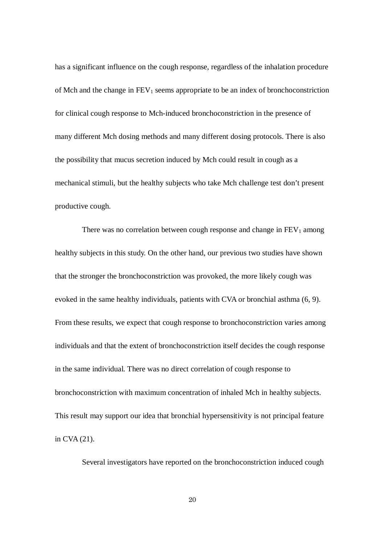has a significant influence on the cough response, regardless of the inhalation procedure of Mch and the change in  $FEV_1$  seems appropriate to be an index of bronchoconstriction for clinical cough response to Mch-induced bronchoconstriction in the presence of many different Mch dosing methods and many different dosing protocols. There is also the possibility that mucus secretion induced by Mch could result in cough as a mechanical stimuli, but the healthy subjects who take Mch challenge test don't present productive cough.

There was no correlation between cough response and change in  $FEV<sub>1</sub>$  among healthy subjects in this study. On the other hand, our previous two studies have shown that the stronger the bronchoconstriction was provoked, the more likely cough was evoked in the same healthy individuals, patients with CVA or bronchial asthma (6, 9). From these results, we expect that cough response to bronchoconstriction varies among individuals and that the extent of bronchoconstriction itself decides the cough response in the same individual. There was no direct correlation of cough response to bronchoconstriction with maximum concentration of inhaled Mch in healthy subjects. This result may support our idea that bronchial hypersensitivity is not principal feature in CVA (21).

Several investigators have reported on the bronchoconstriction induced cough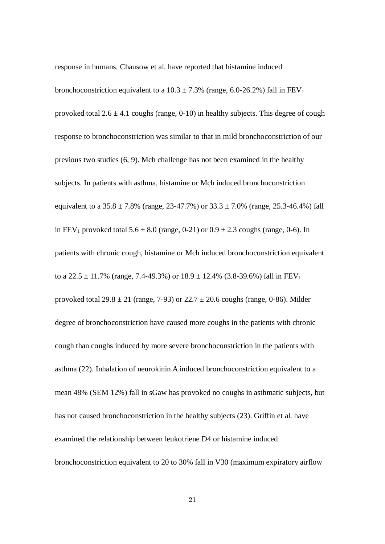response in humans. Chausow et al. have reported that histamine induced

bronchoconstriction equivalent to a  $10.3 \pm 7.3\%$  (range, 6.0-26.2%) fall in FEV<sub>1</sub> provoked total  $2.6 \pm 4.1$  coughs (range, 0-10) in healthy subjects. This degree of cough response to bronchoconstriction was similar to that in mild bronchoconstriction of our previous two studies (6, 9). Mch challenge has not been examined in the healthy subjects. In patients with asthma, histamine or Mch induced bronchoconstriction equivalent to a  $35.8 \pm 7.8\%$  (range,  $23-47.7\%$ ) or  $33.3 \pm 7.0\%$  (range,  $25.3-46.4\%$ ) fall in FEV<sub>1</sub> provoked total  $5.6 \pm 8.0$  (range, 0-21) or  $0.9 \pm 2.3$  coughs (range, 0-6). In patients with chronic cough, histamine or Mch induced bronchoconstriction equivalent to a  $22.5 \pm 11.7\%$  (range, 7.4-49.3%) or  $18.9 \pm 12.4\%$  (3.8-39.6%) fall in FEV<sub>1</sub> provoked total  $29.8 \pm 21$  (range, 7-93) or  $22.7 \pm 20.6$  coughs (range, 0-86). Milder degree of bronchoconstriction have caused more coughs in the patients with chronic cough than coughs induced by more severe bronchoconstriction in the patients with asthma (22). Inhalation of neurokinin A induced bronchoconstriction equivalent to a mean 48% (SEM 12%) fall in sGaw has provoked no coughs in asthmatic subjects, but has not caused bronchoconstriction in the healthy subjects (23). Griffin et al. have examined the relationship between leukotriene D4 or histamine induced bronchoconstriction equivalent to 20 to 30% fall in V30 (maximum expiratory airflow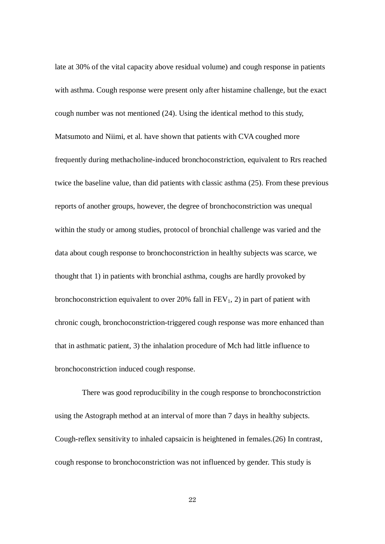late at 30% of the vital capacity above residual volume) and cough response in patients with asthma. Cough response were present only after histamine challenge, but the exact cough number was not mentioned (24). Using the identical method to this study, Matsumoto and Niimi, et al. have shown that patients with CVA coughed more frequently during methacholine-induced bronchoconstriction, equivalent to Rrs reached twice the baseline value, than did patients with classic asthma (25). From these previous reports of another groups, however, the degree of bronchoconstriction was unequal within the study or among studies, protocol of bronchial challenge was varied and the data about cough response to bronchoconstriction in healthy subjects was scarce, we thought that 1) in patients with bronchial asthma, coughs are hardly provoked by bronchoconstriction equivalent to over 20% fall in  $FEV<sub>1</sub>$ , 2) in part of patient with chronic cough, bronchoconstriction-triggered cough response was more enhanced than that in asthmatic patient, 3) the inhalation procedure of Mch had little influence to bronchoconstriction induced cough response.

There was good reproducibility in the cough response to bronchoconstriction using the Astograph method at an interval of more than 7 days in healthy subjects. Cough-reflex sensitivity to inhaled capsaicin is heightened in females.(26) In contrast, cough response to bronchoconstriction was not influenced by gender. This study is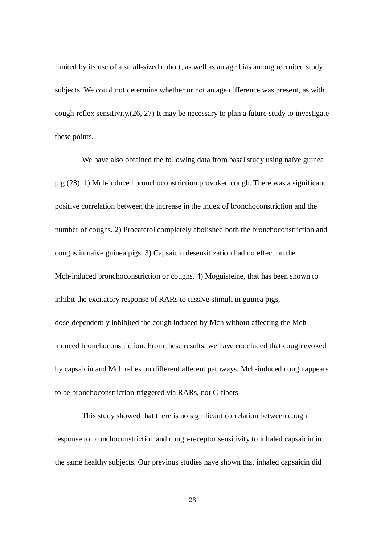limited by its use of a small-sized cohort, as well as an age bias among recruited study subjects. We could not determine whether or not an age difference was present, as with cough-reflex sensitivity.(26, 27) It may be necessary to plan a future study to investigate these points.

We have also obtained the following data from basal study using naïve guinea pig (28). 1) Mch-induced bronchoconstriction provoked cough. There was a significant positive correlation between the increase in the index of bronchoconstriction and the number of coughs. 2) Procaterol completely abolished both the bronchoconstriction and coughs in naïve guinea pigs. 3) Capsaicin desensitization had no effect on the Mch-induced bronchoconstriction or coughs. 4) Moguisteine, that has been shown to inhibit the excitatory response of RARs to tussive stimuli in guinea pigs, dose-dependently inhibited the cough induced by Mch without affecting the Mch induced bronchoconstriction. From these results, we have concluded that cough evoked by capsaicin and Mch relies on different afferent pathways. Mch-induced cough appears to be bronchoconstriction-triggered via RARs, not C-fibers.

This study showed that there is no significant correlation between cough response to bronchoconstriction and cough-receptor sensitivity to inhaled capsaicin in the same healthy subjects. Our previous studies have shown that inhaled capsaicin did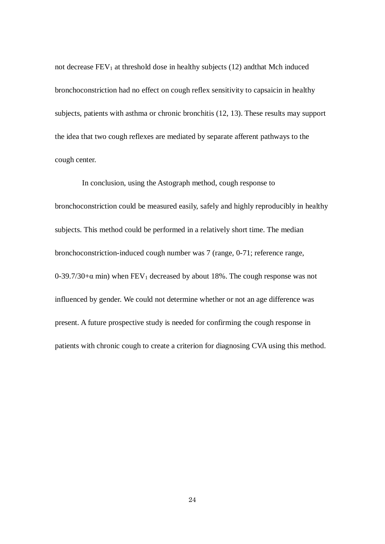not decrease  $FEV<sub>1</sub>$  at threshold dose in healthy subjects (12) andthat Mch induced bronchoconstriction had no effect on cough reflex sensitivity to capsaicin in healthy subjects, patients with asthma or chronic bronchitis (12, 13). These results may support the idea that two cough reflexes are mediated by separate afferent pathways to the cough center.

In conclusion, using the Astograph method, cough response to bronchoconstriction could be measured easily, safely and highly reproducibly in healthy subjects. This method could be performed in a relatively short time. The median bronchoconstriction-induced cough number was 7 (range, 0-71; reference range, 0-39.7/30+ $\alpha$  min) when FEV<sub>1</sub> decreased by about 18%. The cough response was not influenced by gender. We could not determine whether or not an age difference was present. A future prospective study is needed for confirming the cough response in patients with chronic cough to create a criterion for diagnosing CVA using this method.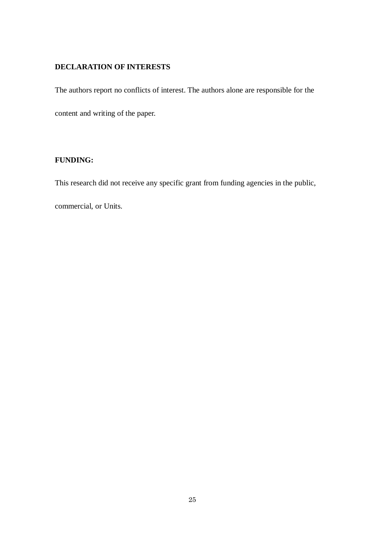# **DECLARATION OF INTERESTS**

The authors report no conflicts of interest. The authors alone are responsible for the

content and writing of the paper.

# **FUNDING:**

This research did not receive any specific grant from funding agencies in the public,

commercial, or Units.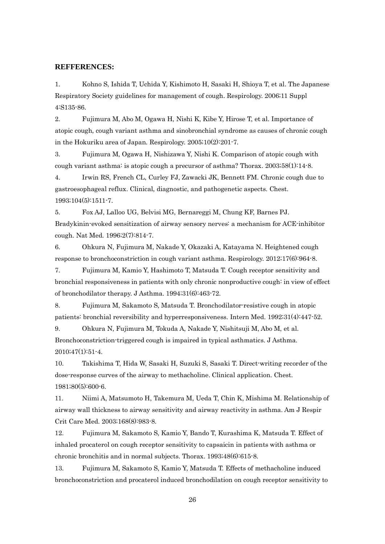#### **REFFERENCES:**

1. Kohno S, Ishida T, Uchida Y, Kishimoto H, Sasaki H, Shioya T, et al. The Japanese Respiratory Society guidelines for management of cough. Respirology. 2006;11 Suppl 4:S135-86.

2. Fujimura M, Abo M, Ogawa H, Nishi K, Kibe Y, Hirose T, et al. Importance of atopic cough, cough variant asthma and sinobronchial syndrome as causes of chronic cough in the Hokuriku area of Japan. Respirology. 2005;10(2):201-7.

3. Fujimura M, Ogawa H, Nishizawa Y, Nishi K. Comparison of atopic cough with cough variant asthma: is atopic cough a precursor of asthma? Thorax. 2003;58(1):14-8.

4. Irwin RS, French CL, Curley FJ, Zawacki JK, Bennett FM. Chronic cough due to gastroesophageal reflux. Clinical, diagnostic, and pathogenetic aspects. Chest. 1993;104(5):1511-7.

5. Fox AJ, Lalloo UG, Belvisi MG, Bernareggi M, Chung KF, Barnes PJ. Bradykinin-evoked sensitization of airway sensory nerves: a mechanism for ACE-inhibitor cough. Nat Med. 1996;2(7):814-7.

6. Ohkura N, Fujimura M, Nakade Y, Okazaki A, Katayama N. Heightened cough response to bronchoconstriction in cough variant asthma. Respirology. 2012;17(6):964-8.

7. Fujimura M, Kamio Y, Hashimoto T, Matsuda T. Cough receptor sensitivity and bronchial responsiveness in patients with only chronic nonproductive cough: in view of effect of bronchodilator therapy. J Asthma. 1994;31(6):463-72.

8. Fujimura M, Sakamoto S, Matsuda T. Bronchodilator-resistive cough in atopic patients: bronchial reversibility and hyperresponsiveness. Intern Med. 1992;31(4):447-52.

9. Ohkura N, Fujimura M, Tokuda A, Nakade Y, Nishitsuji M, Abo M, et al. Bronchoconstriction-triggered cough is impaired in typical asthmatics. J Asthma. 2010;47(1):51-4.

10. Takishima T, Hida W, Sasaki H, Suzuki S, Sasaki T. Direct-writing recorder of the dose-response curves of the airway to methacholine. Clinical application. Chest. 1981;80(5):600-6.

11. Niimi A, Matsumoto H, Takemura M, Ueda T, Chin K, Mishima M. Relationship of airway wall thickness to airway sensitivity and airway reactivity in asthma. Am J Respir Crit Care Med. 2003;168(8):983-8.

12. Fujimura M, Sakamoto S, Kamio Y, Bando T, Kurashima K, Matsuda T. Effect of inhaled procaterol on cough receptor sensitivity to capsaicin in patients with asthma or chronic bronchitis and in normal subjects. Thorax. 1993;48(6):615-8.

13. Fujimura M, Sakamoto S, Kamio Y, Matsuda T. Effects of methacholine induced bronchoconstriction and procaterol induced bronchodilation on cough receptor sensitivity to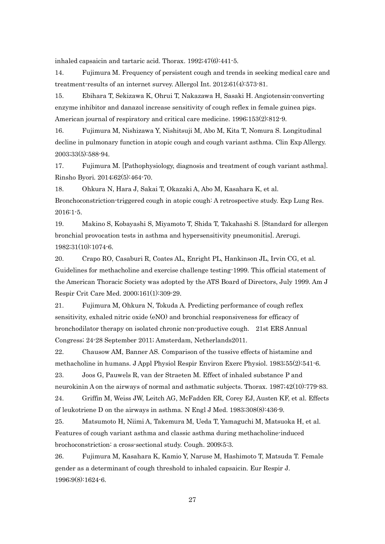inhaled capsaicin and tartaric acid. Thorax. 1992;47(6):441-5.

14. Fujimura M. Frequency of persistent cough and trends in seeking medical care and treatment-results of an internet survey. Allergol Int. 2012;61(4):573-81.

15. Ebihara T, Sekizawa K, Ohrui T, Nakazawa H, Sasaki H. Angiotensin-converting enzyme inhibitor and danazol increase sensitivity of cough reflex in female guinea pigs. American journal of respiratory and critical care medicine. 1996;153(2):812-9.

16. Fujimura M, Nishizawa Y, Nishitsuji M, Abo M, Kita T, Nomura S. Longitudinal decline in pulmonary function in atopic cough and cough variant asthma. Clin Exp Allergy. 2003;33(5):588-94.

17. Fujimura M. [Pathophysiology, diagnosis and treatment of cough variant asthma]. Rinsho Byori. 2014;62(5):464-70.

18. Ohkura N, Hara J, Sakai T, Okazaki A, Abo M, Kasahara K, et al. Bronchoconstriction-triggered cough in atopic cough: A retrospective study. Exp Lung Res. 2016:1-5.

19. Makino S, Kobayashi S, Miyamoto T, Shida T, Takahashi S. [Standard for allergen bronchial provocation tests in asthma and hypersensitivity pneumonitis]. Arerugi. 1982;31(10):1074-6.

20. Crapo RO, Casaburi R, Coates AL, Enright PL, Hankinson JL, Irvin CG, et al. Guidelines for methacholine and exercise challenge testing-1999. This official statement of the American Thoracic Society was adopted by the ATS Board of Directors, July 1999. Am J Respir Crit Care Med. 2000;161(1):309-29.

21. Fujimura M, Ohkura N, Tokuda A. Predicting performance of cough reflex sensitivity, exhaled nitric oxide (eNO) and bronchial responsiveness for efficacy of bronchodilator therapy on isolated chronic non-productive cough. 21st ERS Annual Congress; 24-28 September 2011; Amsterdam, Netherlands2011.

22. Chausow AM, Banner AS. Comparison of the tussive effects of histamine and methacholine in humans. J Appl Physiol Respir Environ Exerc Physiol. 1983;55(2):541-6.

23. Joos G, Pauwels R, van der Straeten M. Effect of inhaled substance P and neurokinin A on the airways of normal and asthmatic subjects. Thorax. 1987;42(10):779-83.

24. Griffin M, Weiss JW, Leitch AG, McFadden ER, Corey EJ, Austen KF, et al. Effects of leukotriene D on the airways in asthma. N Engl J Med. 1983;308(8):436-9.

25. Matsumoto H, Niimi A, Takemura M, Ueda T, Yamaguchi M, Matsuoka H, et al. Features of cough variant asthma and classic asthma during methacholine-induced brochoconstriction: a cross-sectional study. Cough. 2009;5:3.

26. Fujimura M, Kasahara K, Kamio Y, Naruse M, Hashimoto T, Matsuda T. Female gender as a determinant of cough threshold to inhaled capsaicin. Eur Respir J. 1996;9(8):1624-6.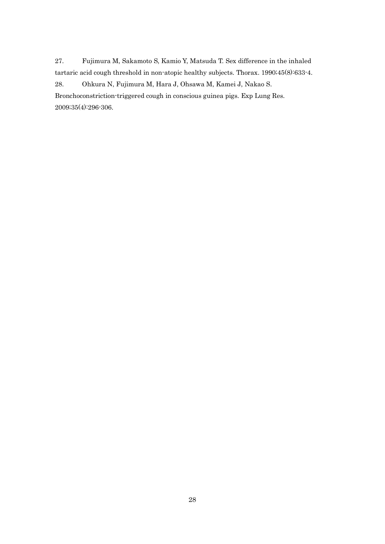27. Fujimura M, Sakamoto S, Kamio Y, Matsuda T. Sex difference in the inhaled tartaric acid cough threshold in non-atopic healthy subjects. Thorax. 1990;45(8):633-4. 28. Ohkura N, Fujimura M, Hara J, Ohsawa M, Kamei J, Nakao S.

Bronchoconstriction-triggered cough in conscious guinea pigs. Exp Lung Res. 2009;35(4):296-306.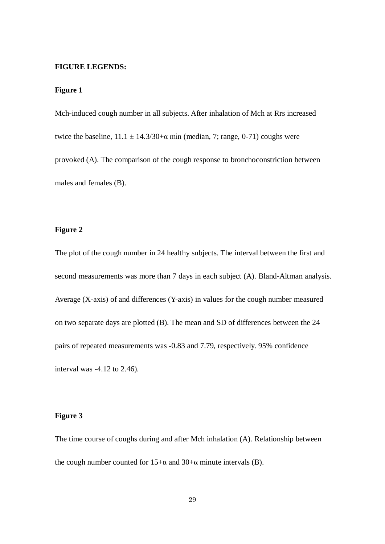#### **FIGURE LEGENDS:**

## **Figure 1**

Mch-induced cough number in all subjects. After inhalation of Mch at Rrs increased twice the baseline,  $11.1 \pm 14.3/30 + α$  min (median, 7; range, 0-71) coughs were provoked (A). The comparison of the cough response to bronchoconstriction between males and females (B).

## **Figure 2**

The plot of the cough number in 24 healthy subjects. The interval between the first and second measurements was more than 7 days in each subject (A). Bland-Altman analysis. Average (X-axis) of and differences (Y-axis) in values for the cough number measured on two separate days are plotted (B). The mean and SD of differences between the 24 pairs of repeated measurements was -0.83 and 7.79, respectively. 95% confidence interval was -4.12 to 2.46).

#### **Figure 3**

The time course of coughs during and after Mch inhalation (A). Relationship between the cough number counted for  $15+\alpha$  and  $30+\alpha$  minute intervals (B).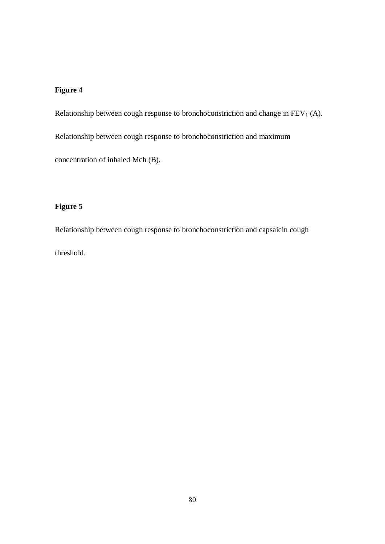# **Figure 4**

Relationship between cough response to bronchoconstriction and change in  $FEV<sub>1</sub>$  (A).

Relationship between cough response to bronchoconstriction and maximum

concentration of inhaled Mch (B).

# **Figure 5**

Relationship between cough response to bronchoconstriction and capsaicin cough threshold.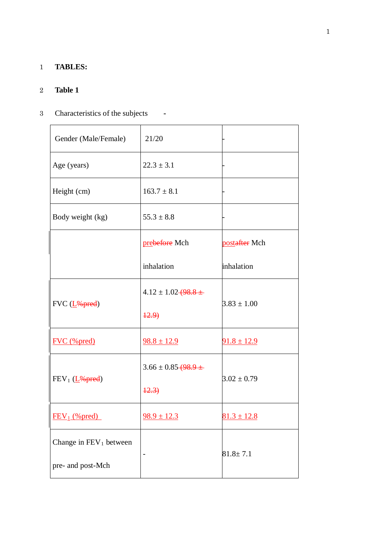# 1 **TABLES:**

# 2 **Table 1**

# 3 Characteristics of the subjects **-**

| Gender (Male/Female)              | 21/20                                  |                 |
|-----------------------------------|----------------------------------------|-----------------|
| Age (years)                       | $22.3 \pm 3.1$                         |                 |
| Height (cm)                       | $163.7 \pm 8.1$                        |                 |
| Body weight (kg)                  | $55.3 \pm 8.8$                         |                 |
|                                   | prebefore Mch                          | postafter Mch   |
|                                   | inhalation                             | inhalation      |
| $FVC$ ( $L%pred$ )                | $4.12 \pm 1.02 + 98.8 +$               | $3.83 \pm 1.00$ |
|                                   | 42.9                                   |                 |
| <b>FVC</b> (%pred)                | $98.8 \pm 12.9$                        | $91.8 \pm 12.9$ |
|                                   | $3.66 \pm 0.85 \rightarrow 98.9 \pm 1$ | $3.02 \pm 0.79$ |
| $FEV_1$ ( $L$ <sup>26</sup> pred) | 42.3                                   |                 |
| $FEV_1$ (% pred)                  | $\frac{98.9 \pm 12.3}{2}$              | $81.3 \pm 12.8$ |
| Change in $\text{FEV}_1$ between  |                                        | $81.8 \pm 7.1$  |
| pre- and post-Mch                 | $\overline{a}$                         |                 |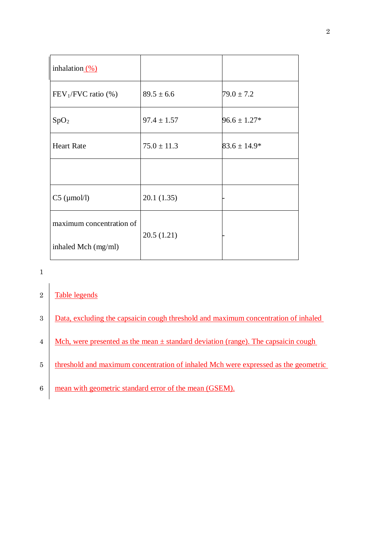| inhalation $\frac{(\%)}{(\%)}$ |                 |                  |
|--------------------------------|-----------------|------------------|
| $FEV_1/FVC$ ratio $(\%)$       | $89.5 \pm 6.6$  | $79.0 \pm 7.2$   |
| SpO <sub>2</sub>               | $97.4 \pm 1.57$ | $96.6 \pm 1.27*$ |
| <b>Heart Rate</b>              | $75.0 \pm 11.3$ | $83.6 \pm 14.9*$ |
|                                |                 |                  |
| $C5$ ( $\mu$ mol/l)            | 20.1(1.35)      |                  |
| maximum concentration of       | 20.5(1.21)      |                  |
| inhaled Mch (mg/ml)            |                 |                  |

# 1

# 2 Table legends

| 3              | Data, excluding the capsaicin cough threshold and maximum concentration of inhaled    |
|----------------|---------------------------------------------------------------------------------------|
| $\overline{4}$ | Mch, were presented as the mean $\pm$ standard deviation (range). The capsaicin cough |
| 5              | threshold and maximum concentration of inhaled Mch were expressed as the geometric    |
| 6              | mean with geometric standard error of the mean (GSEM).                                |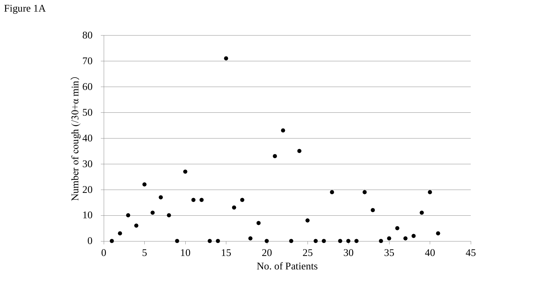Figure 1A

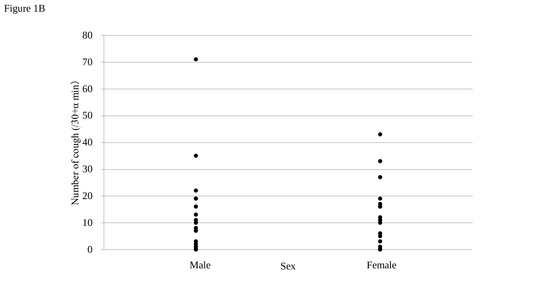Figure 1B

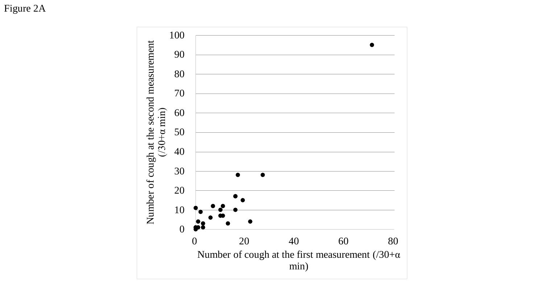Figure 2A

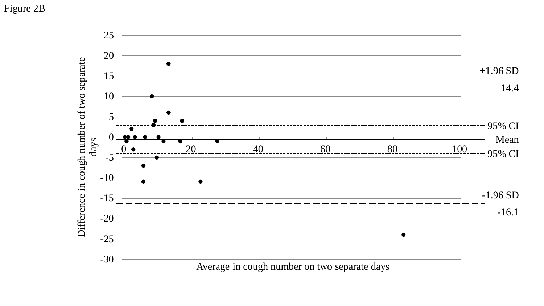# Figure 2B

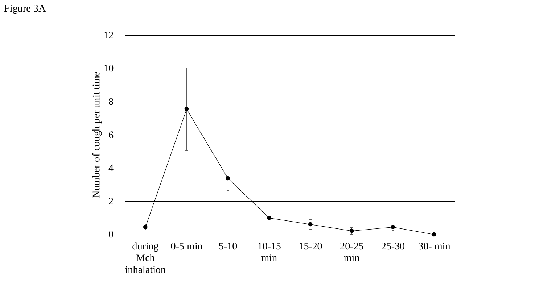Figure 3A

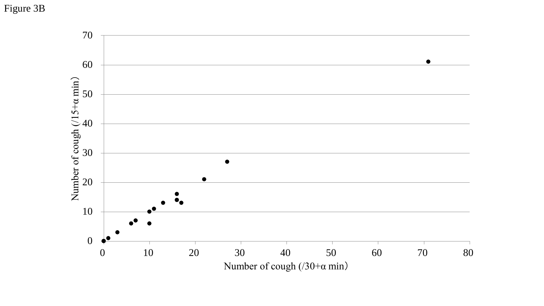Figure 3B

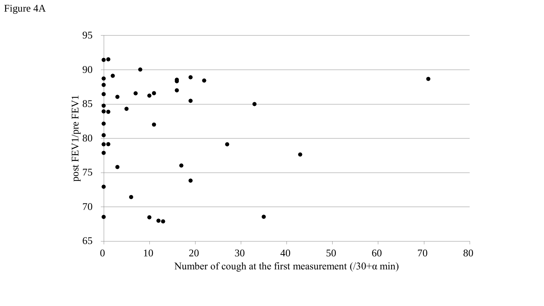Figure 4A

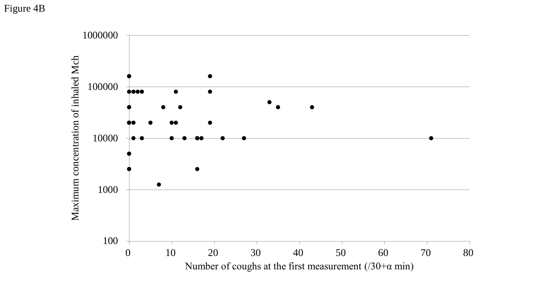Figure 4B